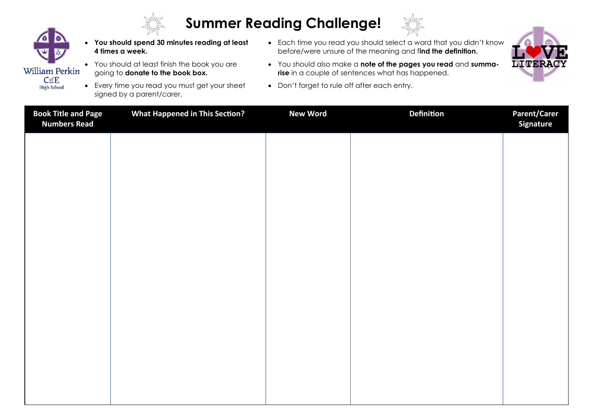

## **Summer Reading Challenge!**



- William Perkin  $C<sub>of</sub>E$ 
	- **High School**
- **You should spend 30 minutes reading at least 4 times a week.**
- You should at least finish the book you are going to **donate to the book box.**
- Every time you read you must get your sheet signed by a parent/carer.
- Each time you read you should select a word that you didn't know before/were unsure of the meaning and f**ind the definition.**
- You should also make a **note of the pages you read** and **summarise** in a couple of sentences what has happened.
- Don't forget to rule off after each entry.



| <b>Book Title and Page</b><br><b>Numbers Read</b> | <b>What Happened in This Section?</b> | <b>New Word</b> | <b>Definition</b> | <b>Parent/Carer</b><br><b>Signature</b> |
|---------------------------------------------------|---------------------------------------|-----------------|-------------------|-----------------------------------------|
|                                                   |                                       |                 |                   |                                         |
|                                                   |                                       |                 |                   |                                         |
|                                                   |                                       |                 |                   |                                         |
|                                                   |                                       |                 |                   |                                         |
|                                                   |                                       |                 |                   |                                         |
|                                                   |                                       |                 |                   |                                         |
|                                                   |                                       |                 |                   |                                         |
|                                                   |                                       |                 |                   |                                         |
|                                                   |                                       |                 |                   |                                         |
|                                                   |                                       |                 |                   |                                         |